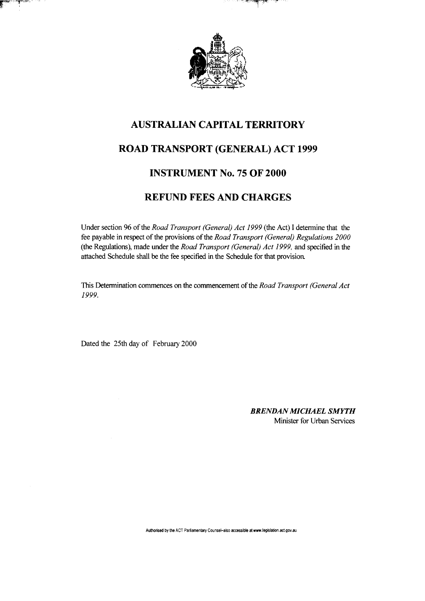

' YP

## AUSTRALIAN CAPITAL TERRITORY

# ROAD TRANSPORT (GENERAL) ACT 1999

### INSTRUMENT No. 75 OF 2000

### REFUND FEES AND CHARGES

Under section 96 of the *Road Transport (General) Act 1999* (the Act) I determine that the fee payable in respect of the provisions of the *Road Transport (General) Regulations 2000*  (the Regulations), made under the *Road Transport (General) Act 1999,* and specified in the attached Schedule shall be the fee specified in the Schedule for that provision.

This Determination commences on the commencement of the *Road Transport (General Act 1999.* 

Dated the 25th day of February 2000

≈ంమ≈ు

*BRENDAN MICHAEL SMYTH*  Minister for Urban Services

Authorised by the ACT Parliamentary Counsel-also accessible at www.legislation.act.gov.au